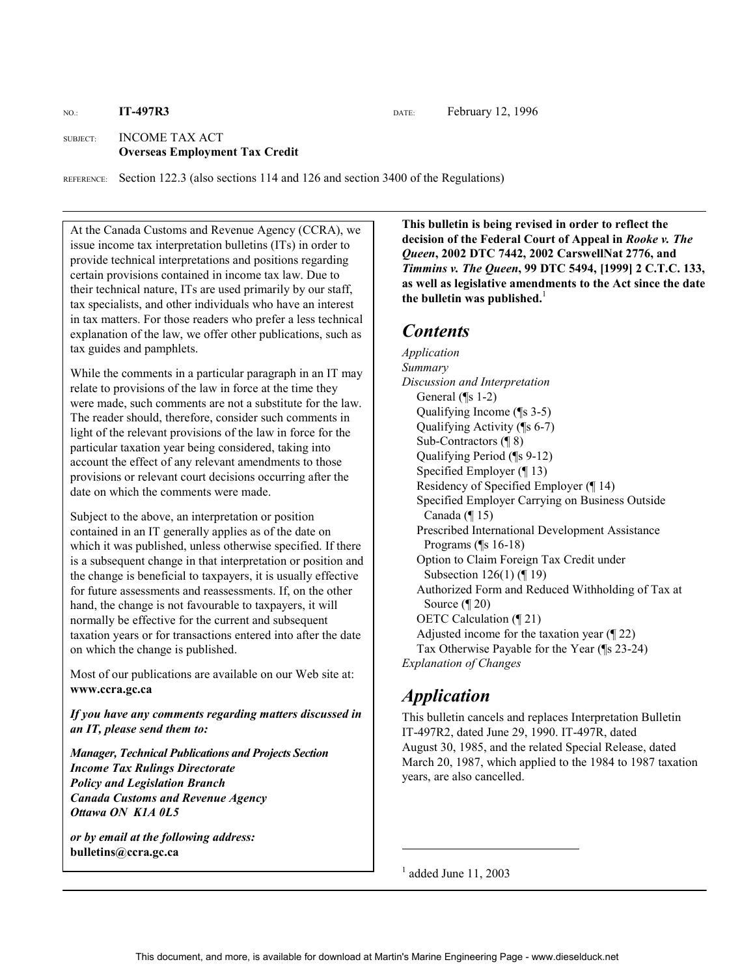NO.: **IT-497R3** DATE: February 12, 1996

#### SUBJECT: INCOME TAX ACT **Overseas Employment Tax Credit**

REFERENCE: Section 122.3 (also sections 114 and 126 and section 3400 of the Regulations)

At the Canada Customs and Revenue Agency (CCRA), we issue income tax interpretation bulletins (ITs) in order to provide technical interpretations and positions regarding certain provisions contained in income tax law. Due to their technical nature, ITs are used primarily by our staff, tax specialists, and other individuals who have an interest in tax matters. For those readers who prefer a less technical explanation of the law, we offer other publications, such as tax guides and pamphlets.

While the comments in a particular paragraph in an IT may relate to provisions of the law in force at the time they were made, such comments are not a substitute for the law. The reader should, therefore, consider such comments in light of the relevant provisions of the law in force for the particular taxation year being considered, taking into account the effect of any relevant amendments to those provisions or relevant court decisions occurring after the date on which the comments were made.

Subject to the above, an interpretation or position contained in an IT generally applies as of the date on which it was published, unless otherwise specified. If there is a subsequent change in that interpretation or position and the change is beneficial to taxpayers, it is usually effective for future assessments and reassessments. If, on the other hand, the change is not favourable to taxpayers, it will normally be effective for the current and subsequent taxation years or for transactions entered into after the date on which the change is published.

Most of our publications are available on our Web site at: **www.ccra.gc.ca**

*If you have any comments regarding matters discussed in an IT, please send them to:* 

*Manager, Technical Publications and Projects Section Income Tax Rulings Directorate Policy and Legislation Branch Canada Customs and Revenue Agency Ottawa ON K1A 0L5* 

*or by email at the following address:* **bulletins@ccra.gc.ca**

**This bulletin is being revised in order to reflect the decision of the Federal Court of Appeal in** *Rooke v. The Queen***, 2002 DTC 7442, 2002 CarswellNat 2776, and**  *Timmins v. The Queen***, 99 DTC 5494, [1999] 2 C.T.C. 133, as well as legislative amendments to the Act since the date**  the bulletin was published.<sup>1</sup>

## *Contents*

*Application Summary Discussion and Interpretation*  General (¶s 1-2) Qualifying Income (¶s 3-5) Qualifying Activity (¶s 6-7) Sub-Contractors (¶ 8) Qualifying Period (¶s 9-12) Specified Employer (¶ 13) Residency of Specified Employer (¶ 14) Specified Employer Carrying on Business Outside Canada (¶ 15) Prescribed International Development Assistance Programs (¶s 16-18) Option to Claim Foreign Tax Credit under Subsection 126(1) (¶ 19) Authorized Form and Reduced Withholding of Tax at Source (¶ 20) OETC Calculation (¶ 21) Adjusted income for the taxation year (¶ 22) Tax Otherwise Payable for the Year (¶s 23-24) *Explanation of Changes* 

## *Application*

This bulletin cancels and replaces Interpretation Bulletin IT-497R2, dated June 29, 1990. IT-497R, dated August 30, 1985, and the related Special Release, dated March 20, 1987, which applied to the 1984 to 1987 taxation years, are also cancelled.

 $<sup>1</sup>$  added June 11, 2003</sup>

l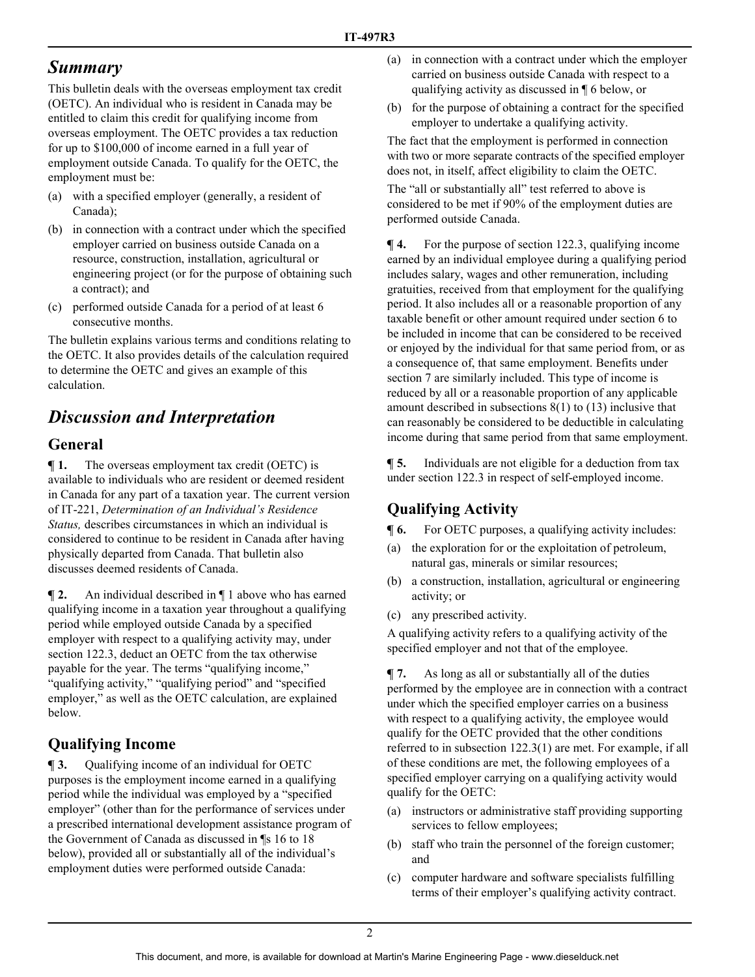# *Summary*

This bulletin deals with the overseas employment tax credit (OETC). An individual who is resident in Canada may be entitled to claim this credit for qualifying income from overseas employment. The OETC provides a tax reduction for up to \$100,000 of income earned in a full year of employment outside Canada. To qualify for the OETC, the employment must be:

- (a) with a specified employer (generally, a resident of Canada);
- (b) in connection with a contract under which the specified employer carried on business outside Canada on a resource, construction, installation, agricultural or engineering project (or for the purpose of obtaining such a contract); and
- (c) performed outside Canada for a period of at least 6 consecutive months.

The bulletin explains various terms and conditions relating to the OETC. It also provides details of the calculation required to determine the OETC and gives an example of this calculation.

# *Discussion and Interpretation*

## **General**

**¶ 1.** The overseas employment tax credit (OETC) is available to individuals who are resident or deemed resident in Canada for any part of a taxation year. The current version of IT-221, Determination of an Individual's Residence *Status,* describes circumstances in which an individual is considered to continue to be resident in Canada after having physically departed from Canada. That bulletin also discusses deemed residents of Canada.

**¶ 2.** An individual described in ¶ 1 above who has earned qualifying income in a taxation year throughout a qualifying period while employed outside Canada by a specified employer with respect to a qualifying activity may, under section 122.3, deduct an OETC from the tax otherwise payable for the year. The terms "qualifying income," "qualifying activity," "qualifying period" and "specified employer," as well as the OETC calculation, are explained below.

## **Qualifying Income**

**¶ 3.** Qualifying income of an individual for OETC purposes is the employment income earned in a qualifying period while the individual was employed by a "specified employer" (other than for the performance of services under a prescribed international development assistance program of the Government of Canada as discussed in ¶s 16 to 18 below), provided all or substantially all of the individual's employment duties were performed outside Canada:

- (a) in connection with a contract under which the employer carried on business outside Canada with respect to a qualifying activity as discussed in ¶ 6 below, or
- (b) for the purpose of obtaining a contract for the specified employer to undertake a qualifying activity.

The fact that the employment is performed in connection with two or more separate contracts of the specified employer does not, in itself, affect eligibility to claim the OETC.

The "all or substantially all" test referred to above is considered to be met if 90% of the employment duties are performed outside Canada.

**¶ 4.** For the purpose of section 122.3, qualifying income earned by an individual employee during a qualifying period includes salary, wages and other remuneration, including gratuities, received from that employment for the qualifying period. It also includes all or a reasonable proportion of any taxable benefit or other amount required under section 6 to be included in income that can be considered to be received or enjoyed by the individual for that same period from, or as a consequence of, that same employment. Benefits under section 7 are similarly included. This type of income is reduced by all or a reasonable proportion of any applicable amount described in subsections 8(1) to (13) inclusive that can reasonably be considered to be deductible in calculating income during that same period from that same employment.

**¶ 5.** Individuals are not eligible for a deduction from tax under section 122.3 in respect of self-employed income.

## **Qualifying Activity**

 $\blacksquare$  **6.** For OETC purposes, a qualifying activity includes:

- (a) the exploration for or the exploitation of petroleum, natural gas, minerals or similar resources;
- (b) a construction, installation, agricultural or engineering activity; or
- (c) any prescribed activity.

A qualifying activity refers to a qualifying activity of the specified employer and not that of the employee.

**¶ 7.** As long as all or substantially all of the duties performed by the employee are in connection with a contract under which the specified employer carries on a business with respect to a qualifying activity, the employee would qualify for the OETC provided that the other conditions referred to in subsection 122.3(1) are met. For example, if all of these conditions are met, the following employees of a specified employer carrying on a qualifying activity would qualify for the OETC:

- (a) instructors or administrative staff providing supporting services to fellow employees;
- (b) staff who train the personnel of the foreign customer; and
- (c) computer hardware and software specialists fulfilling terms of their employer's qualifying activity contract.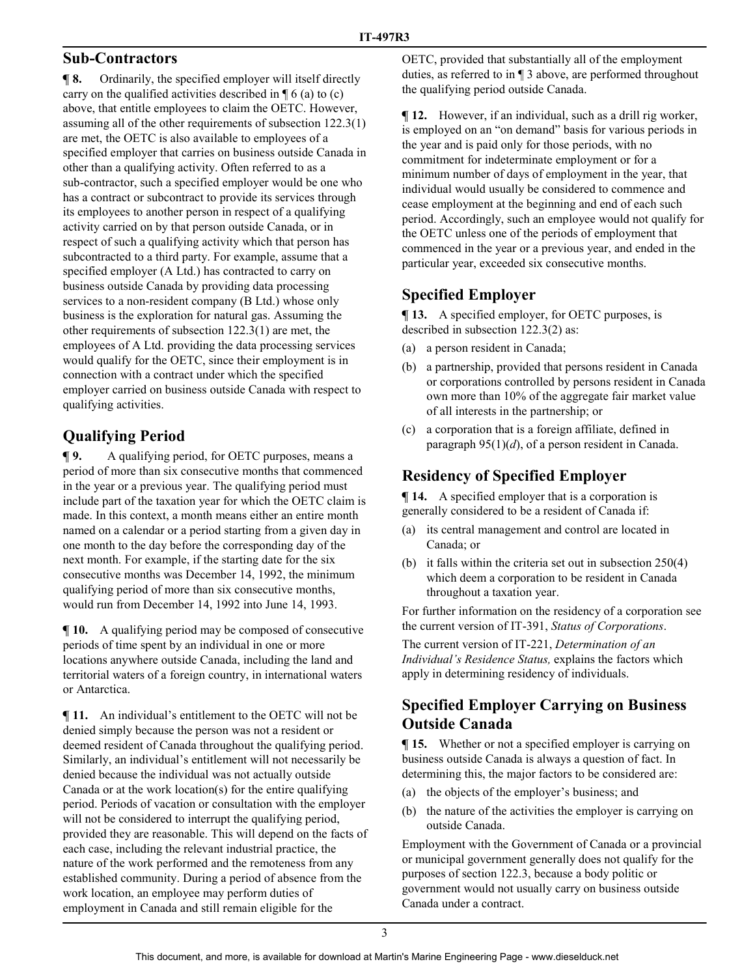## **Sub-Contractors**

**[8.** Ordinarily, the specified employer will itself directly carry on the qualified activities described in  $\P$  6 (a) to (c) above, that entitle employees to claim the OETC. However, assuming all of the other requirements of subsection 122.3(1) are met, the OETC is also available to employees of a specified employer that carries on business outside Canada in other than a qualifying activity. Often referred to as a sub-contractor, such a specified employer would be one who has a contract or subcontract to provide its services through its employees to another person in respect of a qualifying activity carried on by that person outside Canada, or in respect of such a qualifying activity which that person has subcontracted to a third party. For example, assume that a specified employer (A Ltd.) has contracted to carry on business outside Canada by providing data processing services to a non-resident company (B Ltd.) whose only business is the exploration for natural gas. Assuming the other requirements of subsection 122.3(1) are met, the employees of A Ltd. providing the data processing services would qualify for the OETC, since their employment is in connection with a contract under which the specified employer carried on business outside Canada with respect to qualifying activities.

## **Qualifying Period**

**¶ 9.** A qualifying period, for OETC purposes, means a period of more than six consecutive months that commenced in the year or a previous year. The qualifying period must include part of the taxation year for which the OETC claim is made. In this context, a month means either an entire month named on a calendar or a period starting from a given day in one month to the day before the corresponding day of the next month. For example, if the starting date for the six consecutive months was December 14, 1992, the minimum qualifying period of more than six consecutive months, would run from December 14, 1992 into June 14, 1993.

**¶ 10.** A qualifying period may be composed of consecutive periods of time spent by an individual in one or more locations anywhere outside Canada, including the land and territorial waters of a foreign country, in international waters or Antarctica.

 $\P$  **11.** An individual's entitlement to the OETC will not be denied simply because the person was not a resident or deemed resident of Canada throughout the qualifying period. Similarly, an individual's entitlement will not necessarily be denied because the individual was not actually outside Canada or at the work location(s) for the entire qualifying period. Periods of vacation or consultation with the employer will not be considered to interrupt the qualifying period, provided they are reasonable. This will depend on the facts of each case, including the relevant industrial practice, the nature of the work performed and the remoteness from any established community. During a period of absence from the work location, an employee may perform duties of employment in Canada and still remain eligible for the

OETC, provided that substantially all of the employment duties, as referred to in ¶ 3 above, are performed throughout the qualifying period outside Canada.

**¶ 12.** However, if an individual, such as a drill rig worker, is employed on an "on demand" basis for various periods in the year and is paid only for those periods, with no commitment for indeterminate employment or for a minimum number of days of employment in the year, that individual would usually be considered to commence and cease employment at the beginning and end of each such period. Accordingly, such an employee would not qualify for the OETC unless one of the periods of employment that commenced in the year or a previous year, and ended in the particular year, exceeded six consecutive months.

## **Specified Employer**

**¶ 13.** A specified employer, for OETC purposes, is described in subsection 122.3(2) as:

- (a) a person resident in Canada;
- (b) a partnership, provided that persons resident in Canada or corporations controlled by persons resident in Canada own more than 10% of the aggregate fair market value of all interests in the partnership; or
- (c) a corporation that is a foreign affiliate, defined in paragraph 95(1)(*d*), of a person resident in Canada.

## **Residency of Specified Employer**

**¶ 14.** A specified employer that is a corporation is generally considered to be a resident of Canada if:

- (a) its central management and control are located in Canada; or
- (b) it falls within the criteria set out in subsection 250(4) which deem a corporation to be resident in Canada throughout a taxation year.

For further information on the residency of a corporation see the current version of IT-391, *Status of Corporations*.

The current version of IT-221, *Determination of an Individual's Residence Status, explains the factors which* apply in determining residency of individuals.

## **Specified Employer Carrying on Business Outside Canada**

**¶ 15.** Whether or not a specified employer is carrying on business outside Canada is always a question of fact. In determining this, the major factors to be considered are:

- (a) the objects of the employer's business; and
- (b) the nature of the activities the employer is carrying on outside Canada.

Employment with the Government of Canada or a provincial or municipal government generally does not qualify for the purposes of section 122.3, because a body politic or government would not usually carry on business outside Canada under a contract.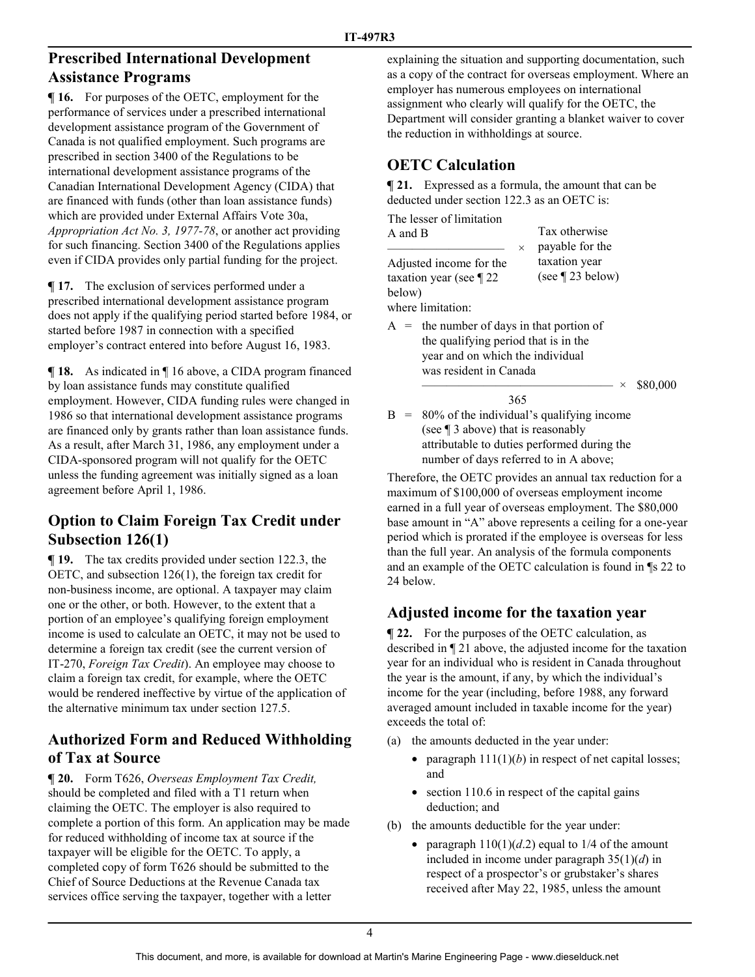## **Prescribed International Development Assistance Programs**

 $\P$  **16.** For purposes of the OETC, employment for the performance of services under a prescribed international development assistance program of the Government of Canada is not qualified employment. Such programs are prescribed in section 3400 of the Regulations to be international development assistance programs of the Canadian International Development Agency (CIDA) that are financed with funds (other than loan assistance funds) which are provided under External Affairs Vote 30a, *Appropriation Act No. 3, 1977-78*, or another act providing for such financing. Section 3400 of the Regulations applies even if CIDA provides only partial funding for the project.

**¶ 17.** The exclusion of services performed under a prescribed international development assistance program does not apply if the qualifying period started before 1984, or started before 1987 in connection with a specified employer's contract entered into before August 16, 1983.

**¶ 18.** As indicated in ¶ 16 above, a CIDA program financed by loan assistance funds may constitute qualified employment. However, CIDA funding rules were changed in 1986 so that international development assistance programs are financed only by grants rather than loan assistance funds. As a result, after March 31, 1986, any employment under a CIDA-sponsored program will not qualify for the OETC unless the funding agreement was initially signed as a loan agreement before April 1, 1986.

## **Option to Claim Foreign Tax Credit under Subsection 126(1)**

**¶ 19.** The tax credits provided under section 122.3, the OETC, and subsection 126(1), the foreign tax credit for non-business income, are optional. A taxpayer may claim one or the other, or both. However, to the extent that a portion of an employee's qualifying foreign employment income is used to calculate an OETC, it may not be used to determine a foreign tax credit (see the current version of IT-270, *Foreign Tax Credit*). An employee may choose to claim a foreign tax credit, for example, where the OETC would be rendered ineffective by virtue of the application of the alternative minimum tax under section 127.5.

## **Authorized Form and Reduced Withholding of Tax at Source**

**¶ 20.** Form T626, *Overseas Employment Tax Credit,* should be completed and filed with a T1 return when claiming the OETC. The employer is also required to complete a portion of this form. An application may be made for reduced withholding of income tax at source if the taxpayer will be eligible for the OETC. To apply, a completed copy of form T626 should be submitted to the Chief of Source Deductions at the Revenue Canada tax services office serving the taxpayer, together with a letter

explaining the situation and supporting documentation, such as a copy of the contract for overseas employment. Where an employer has numerous employees on international assignment who clearly will qualify for the OETC, the Department will consider granting a blanket waiver to cover the reduction in withholdings at source.

## **OETC Calculation**

**¶ 21.** Expressed as a formula, the amount that can be deducted under section 122.3 as an OETC is:

| The lesser of limitation<br>A and B                   | $\times$ | Tax otherwise<br>payable for the<br>taxation year<br>(see $\P$ 23 below) |
|-------------------------------------------------------|----------|--------------------------------------------------------------------------|
| Adjusted income for the<br>taxation year (see $\P$ 22 |          |                                                                          |
| below)<br>where limitation:                           |          |                                                                          |
| $A =$ the number of days in that portion of           |          |                                                                          |

 $A =$  the number of days in that portion of the qualifying period that is in the year and on which the individual was resident in Canada

 $\times$  \$80,000

365

 $B = 80\%$  of the individual's qualifying income (see ¶ 3 above) that is reasonably attributable to duties performed during the number of days referred to in A above;

Therefore, the OETC provides an annual tax reduction for a maximum of \$100,000 of overseas employment income earned in a full year of overseas employment. The \$80,000 base amount in "A" above represents a ceiling for a one-year period which is prorated if the employee is overseas for less than the full year. An analysis of the formula components and an example of the OETC calculation is found in ¶s 22 to 24 below.

## **Adjusted income for the taxation year**

**¶ 22.** For the purposes of the OETC calculation, as described in ¶ 21 above, the adjusted income for the taxation year for an individual who is resident in Canada throughout the year is the amount, if any, by which the individual's income for the year (including, before 1988, any forward averaged amount included in taxable income for the year) exceeds the total of:

- (a) the amounts deducted in the year under:
	- paragraph  $111(1)(b)$  in respect of net capital losses; and
	- section 110.6 in respect of the capital gains deduction; and
- (b) the amounts deductible for the year under:
	- paragraph  $110(1)(d.2)$  equal to  $1/4$  of the amount included in income under paragraph 35(1)(*d*) in respect of a prospector's or grubstaker's shares received after May 22, 1985, unless the amount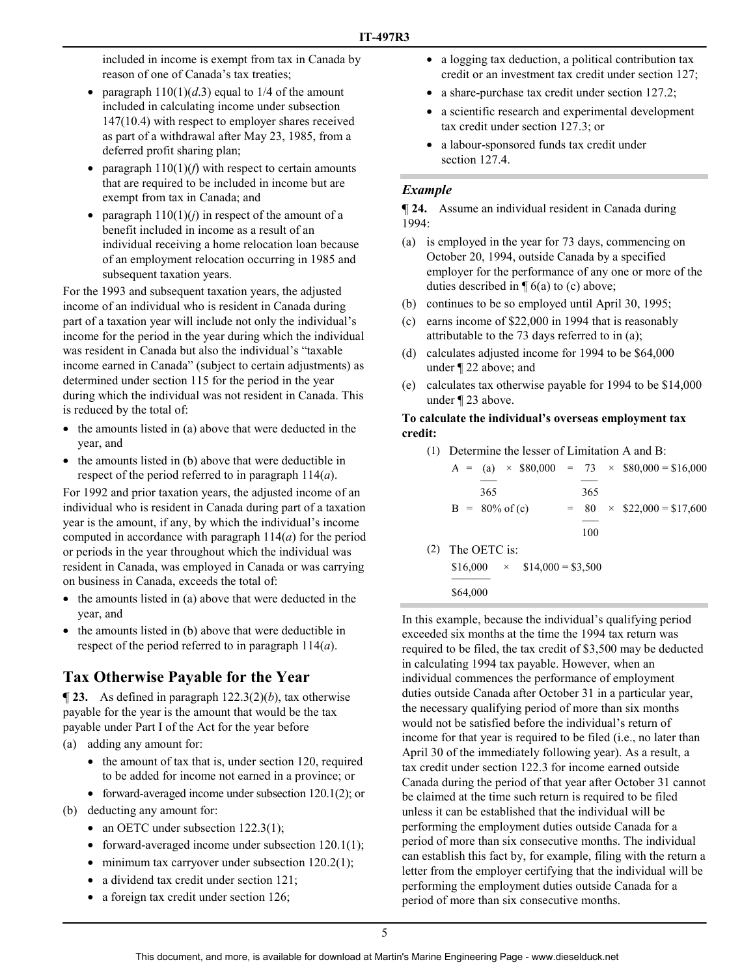included in income is exempt from tax in Canada by reason of one of Canada's tax treaties;

- paragraph  $110(1)(d.3)$  equal to  $1/4$  of the amount included in calculating income under subsection 147(10.4) with respect to employer shares received as part of a withdrawal after May 23, 1985, from a deferred profit sharing plan;
- paragraph  $110(1)(f)$  with respect to certain amounts that are required to be included in income but are exempt from tax in Canada; and
- paragraph  $110(1)(j)$  in respect of the amount of a benefit included in income as a result of an individual receiving a home relocation loan because of an employment relocation occurring in 1985 and subsequent taxation years.

For the 1993 and subsequent taxation years, the adjusted income of an individual who is resident in Canada during part of a taxation year will include not only the individual's income for the period in the year during which the individual was resident in Canada but also the individual's "taxable" income earned in Canada" (subject to certain adjustments) as determined under section 115 for the period in the year during which the individual was not resident in Canada. This is reduced by the total of:

- the amounts listed in (a) above that were deducted in the year, and
- the amounts listed in (b) above that were deductible in respect of the period referred to in paragraph 114(*a*).

For 1992 and prior taxation years, the adjusted income of an individual who is resident in Canada during part of a taxation year is the amount, if any, by which the individual's income computed in accordance with paragraph 114(*a*) for the period or periods in the year throughout which the individual was resident in Canada, was employed in Canada or was carrying on business in Canada, exceeds the total of:

- the amounts listed in (a) above that were deducted in the year, and
- the amounts listed in (b) above that were deductible in respect of the period referred to in paragraph 114(*a*).

## **Tax Otherwise Payable for the Year**

**¶ 23.** As defined in paragraph 122.3(2)(*b*), tax otherwise payable for the year is the amount that would be the tax payable under Part I of the Act for the year before

- (a) adding any amount for:
	- the amount of tax that is, under section 120, required to be added for income not earned in a province; or
	- forward-averaged income under subsection 120.1(2); or
- (b) deducting any amount for:
	- an OETC under subsection 122.3(1);
	- forward-averaged income under subsection 120.1(1);
	- minimum tax carryover under subsection 120.2(1);
	- a dividend tax credit under section 121;
	- a foreign tax credit under section 126;
- a logging tax deduction, a political contribution tax credit or an investment tax credit under section 127;
- a share-purchase tax credit under section 127.2;
- a scientific research and experimental development tax credit under section 127.3; or
- a labour-sponsored funds tax credit under section 127.4.

### *Example*

**¶ 24.** Assume an individual resident in Canada during 1994:

- (a) is employed in the year for 73 days, commencing on October 20, 1994, outside Canada by a specified employer for the performance of any one or more of the duties described in  $\P$  6(a) to (c) above;
- (b) continues to be so employed until April 30, 1995;
- (c) earns income of \$22,000 in 1994 that is reasonably attributable to the 73 days referred to in (a);
- (d) calculates adjusted income for 1994 to be \$64,000 under ¶ 22 above; and
- (e) calculates tax otherwise payable for 1994 to be \$14,000 under ¶ 23 above.

#### To calculate the individual's overseas employment tax **credit:**

(1) Determine the lesser of Limitation A and B:

|                           |  |     | $A = (a) \times $80,000 = 73 \times $80,000 = $16,000$ |
|---------------------------|--|-----|--------------------------------------------------------|
| 365                       |  | 365 |                                                        |
| $B = 80\% \text{ of (c)}$ |  |     | $= 80 \times \$22,000 = \$17,600$                      |
|                           |  | 100 |                                                        |

(2) The OETC is:  $$16,000 \times $14,000 = $3,500$ óóóñ \$64,000

In this example, because the individual's qualifying period exceeded six months at the time the 1994 tax return was required to be filed, the tax credit of \$3,500 may be deducted in calculating 1994 tax payable. However, when an individual commences the performance of employment duties outside Canada after October 31 in a particular year, the necessary qualifying period of more than six months would not be satisfied before the individual's return of income for that year is required to be filed (i.e., no later than April 30 of the immediately following year). As a result, a tax credit under section 122.3 for income earned outside Canada during the period of that year after October 31 cannot be claimed at the time such return is required to be filed unless it can be established that the individual will be performing the employment duties outside Canada for a period of more than six consecutive months. The individual can establish this fact by, for example, filing with the return a letter from the employer certifying that the individual will be performing the employment duties outside Canada for a period of more than six consecutive months.